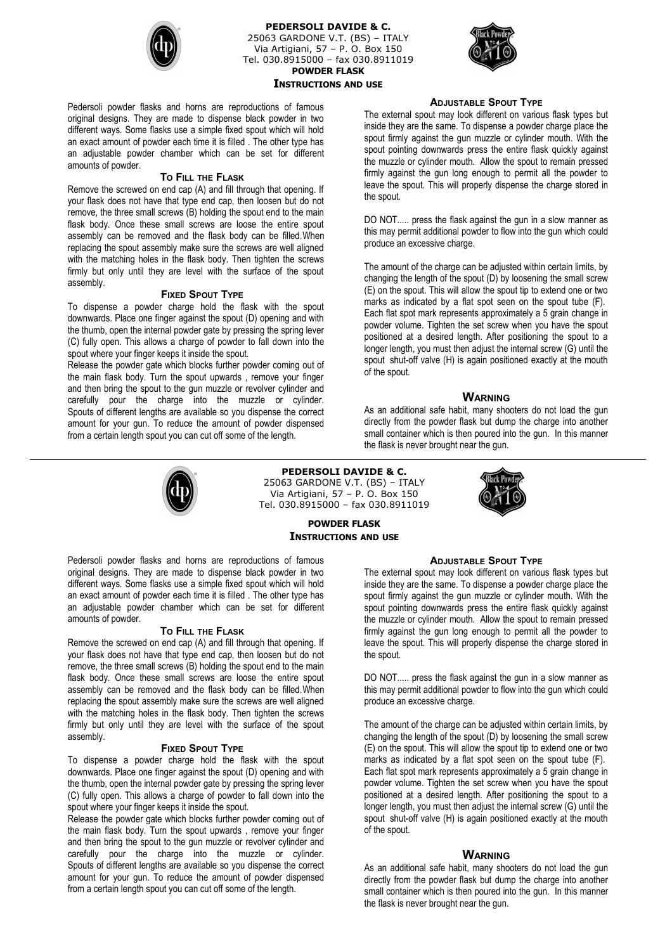

**PEDERSOLI DAVIDE & C.** 25063 GARDONE V.T. (BS) – ITALY Via Artigiani, 57 – P. O. Box 150 Tel. 030.8915000 – fax 030.8911019 **POWDER FLASK INSTRUCTIONS AND USE**



Pedersoli powder flasks and horns are reproductions of famous original designs. They are made to dispense black powder in two different ways. Some flasks use a simple fixed spout which will hold an exact amount of powder each time it is filled . The other type has an adjustable powder chamber which can be set for different amounts of powder.

## **TO FILL THE FLASK**

Remove the screwed on end cap (A) and fill through that opening. If your flask does not have that type end cap, then loosen but do not remove, the three small screws (B) holding the spout end to the main flask body. Once these small screws are loose the entire spout assembly can be removed and the flask body can be filled.When replacing the spout assembly make sure the screws are well aligned with the matching holes in the flask body. Then tighten the screws firmly but only until they are level with the surface of the spout assembly.

## **FIXED SPOUT TYPE**

To dispense a powder charge hold the flask with the spout downwards. Place one finger against the spout (D) opening and with the thumb, open the internal powder gate by pressing the spring lever (C) fully open. This allows a charge of powder to fall down into the spout where your finger keeps it inside the spout.

Release the powder gate which blocks further powder coming out of the main flask body. Turn the spout upwards , remove your finger and then bring the spout to the gun muzzle or revolver cylinder and carefully pour the charge into the muzzle or cylinder. Spouts of different lengths are available so you dispense the correct amount for your gun. To reduce the amount of powder dispensed from a certain length spout you can cut off some of the length.

## **ADJUSTABLE SPOUT TYPE**

The external spout may look different on various flask types but inside they are the same. To dispense a powder charge place the spout firmly against the gun muzzle or cylinder mouth. With the spout pointing downwards press the entire flask quickly against the muzzle or cylinder mouth. Allow the spout to remain pressed firmly against the gun long enough to permit all the powder to leave the spout. This will properly dispense the charge stored in the spout.

DO NOT..... press the flask against the gun in a slow manner as this may permit additional powder to flow into the gun which could produce an excessive charge.

The amount of the charge can be adjusted within certain limits, by changing the length of the spout (D) by loosening the small screw (E) on the spout. This will allow the spout tip to extend one or two marks as indicated by a flat spot seen on the spout tube (F). Each flat spot mark represents approximately a 5 grain change in powder volume. Tighten the set screw when you have the spout positioned at a desired length. After positioning the spout to a longer length, you must then adjust the internal screw (G) until the spout shut-off valve (H) is again positioned exactly at the mouth of the spout.

## **WARNING**

As an additional safe habit, many shooters do not load the gun directly from the powder flask but dump the charge into another small container which is then poured into the gun. In this manner the flask is never brought near the gun.



# **PEDERSOLI DAVIDE & C.**

25063 GARDONE V.T. (BS) – ITALY Via Artigiani, 57 – P. O. Box 150 Tel. 030.8915000 – fax 030.8911019



**POWDER FLASK INSTRUCTIONS AND USE**

Pedersoli powder flasks and horns are reproductions of famous original designs. They are made to dispense black powder in two different ways. Some flasks use a simple fixed spout which will hold an exact amount of powder each time it is filled . The other type has an adjustable powder chamber which can be set for different amounts of powder.

#### **TO FILL THE FLASK**

Remove the screwed on end cap (A) and fill through that opening. If your flask does not have that type end cap, then loosen but do not remove, the three small screws (B) holding the spout end to the main flask body. Once these small screws are loose the entire spout assembly can be removed and the flask body can be filled.When replacing the spout assembly make sure the screws are well aligned with the matching holes in the flask body. Then tighten the screws firmly but only until they are level with the surface of the spout assembly.

### **FIXED SPOUT TYPE**

To dispense a powder charge hold the flask with the spout downwards. Place one finger against the spout (D) opening and with the thumb, open the internal powder gate by pressing the spring lever (C) fully open. This allows a charge of powder to fall down into the spout where your finger keeps it inside the spout.

Release the powder gate which blocks further powder coming out of the main flask body. Turn the spout upwards , remove your finger and then bring the spout to the gun muzzle or revolver cylinder and carefully pour the charge into the muzzle or cylinder. Spouts of different lengths are available so you dispense the correct amount for your gun. To reduce the amount of powder dispensed from a certain length spout you can cut off some of the length.

# **ADJUSTABLE SPOUT TYPE**

The external spout may look different on various flask types but inside they are the same. To dispense a powder charge place the spout firmly against the gun muzzle or cylinder mouth. With the spout pointing downwards press the entire flask quickly against the muzzle or cylinder mouth. Allow the spout to remain pressed firmly against the gun long enough to permit all the powder to leave the spout. This will properly dispense the charge stored in the spout.

DO NOT..... press the flask against the gun in a slow manner as this may permit additional powder to flow into the gun which could produce an excessive charge.

The amount of the charge can be adjusted within certain limits, by changing the length of the spout (D) by loosening the small screw (E) on the spout. This will allow the spout tip to extend one or two marks as indicated by a flat spot seen on the spout tube (F). Each flat spot mark represents approximately a 5 grain change in powder volume. Tighten the set screw when you have the spout positioned at a desired length. After positioning the spout to a longer length, you must then adjust the internal screw (G) until the spout shut-off valve (H) is again positioned exactly at the mouth of the spout.

### **WARNING**

As an additional safe habit, many shooters do not load the gun directly from the powder flask but dump the charge into another small container which is then poured into the gun. In this manner the flask is never brought near the gun.